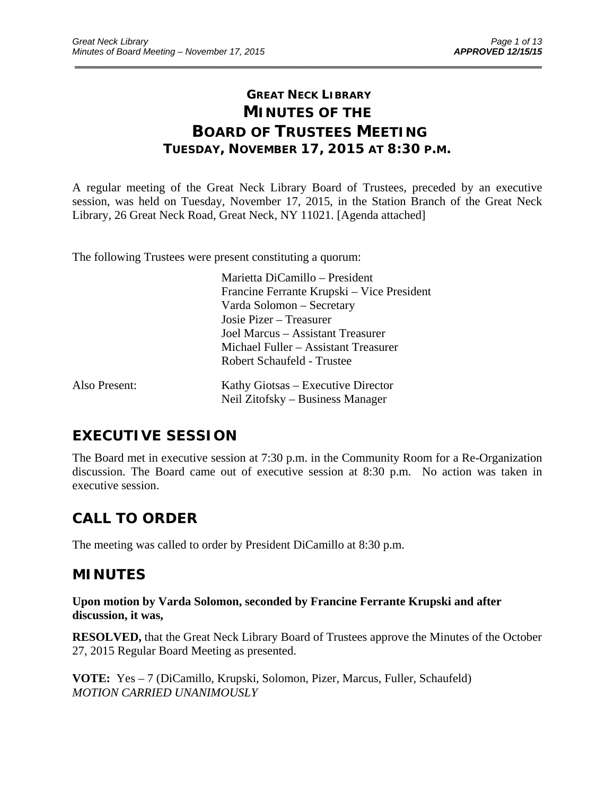# **GREAT NECK LIBRARY MINUTES OF THE BOARD OF TRUSTEES MEETING TUESDAY, NOVEMBER 17, 2015 AT 8:30 P.M.**

\_\_\_\_\_\_\_\_\_\_\_\_\_\_\_\_\_\_\_\_\_\_\_\_\_\_\_\_\_\_\_\_\_\_\_\_\_\_\_\_\_\_\_\_\_\_\_\_\_\_\_\_\_\_\_\_\_\_\_\_\_\_\_\_\_\_\_\_\_\_\_\_\_\_\_\_\_\_\_\_\_\_\_\_\_\_\_\_\_\_\_\_\_

A regular meeting of the Great Neck Library Board of Trustees, preceded by an executive session, was held on Tuesday, November 17, 2015, in the Station Branch of the Great Neck Library, 26 Great Neck Road, Great Neck, NY 11021. [Agenda attached]

The following Trustees were present constituting a quorum:

 Marietta DiCamillo – President Francine Ferrante Krupski – Vice President Varda Solomon – Secretary Josie Pizer – Treasurer Joel Marcus – Assistant Treasurer Michael Fuller – Assistant Treasurer Robert Schaufeld - Trustee Also Present: Kathy Giotsas – Executive Director

# Neil Zitofsky – Business Manager

# **EXECUTIVE SESSION**

The Board met in executive session at 7:30 p.m. in the Community Room for a Re-Organization discussion. The Board came out of executive session at 8:30 p.m. No action was taken in executive session.

# **CALL TO ORDER**

The meeting was called to order by President DiCamillo at 8:30 p.m.

# **MINUTES**

**Upon motion by Varda Solomon, seconded by Francine Ferrante Krupski and after discussion, it was,** 

**RESOLVED,** that the Great Neck Library Board of Trustees approve the Minutes of the October 27, 2015 Regular Board Meeting as presented.

**VOTE:** Yes – 7 (DiCamillo, Krupski, Solomon, Pizer, Marcus, Fuller, Schaufeld) *MOTION CARRIED UNANIMOUSLY*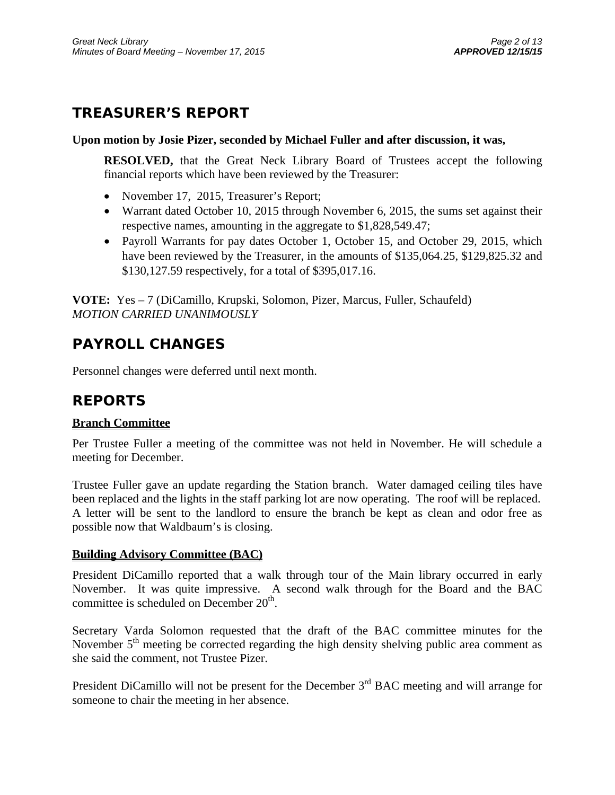# **TREASURER'S REPORT**

## **Upon motion by Josie Pizer, seconded by Michael Fuller and after discussion, it was,**

**RESOLVED,** that the Great Neck Library Board of Trustees accept the following financial reports which have been reviewed by the Treasurer:

- November 17, 2015, Treasurer's Report;
- Warrant dated October 10, 2015 through November 6, 2015, the sums set against their respective names, amounting in the aggregate to \$1,828,549.47;
- Payroll Warrants for pay dates October 1, October 15, and October 29, 2015, which have been reviewed by the Treasurer, in the amounts of \$135,064.25, \$129,825.32 and \$130,127.59 respectively, for a total of \$395,017.16.

**VOTE:** Yes – 7 (DiCamillo, Krupski, Solomon, Pizer, Marcus, Fuller, Schaufeld) *MOTION CARRIED UNANIMOUSLY* 

# **PAYROLL CHANGES**

Personnel changes were deferred until next month.

# **REPORTS**

# **Branch Committee**

Per Trustee Fuller a meeting of the committee was not held in November. He will schedule a meeting for December.

Trustee Fuller gave an update regarding the Station branch. Water damaged ceiling tiles have been replaced and the lights in the staff parking lot are now operating. The roof will be replaced. A letter will be sent to the landlord to ensure the branch be kept as clean and odor free as possible now that Waldbaum's is closing.

# **Building Advisory Committee (BAC)**

President DiCamillo reported that a walk through tour of the Main library occurred in early November. It was quite impressive. A second walk through for the Board and the BAC committee is scheduled on December  $20<sup>th</sup>$ .

Secretary Varda Solomon requested that the draft of the BAC committee minutes for the November  $5<sup>th</sup>$  meeting be corrected regarding the high density shelving public area comment as she said the comment, not Trustee Pizer.

President DiCamillo will not be present for the December 3<sup>rd</sup> BAC meeting and will arrange for someone to chair the meeting in her absence.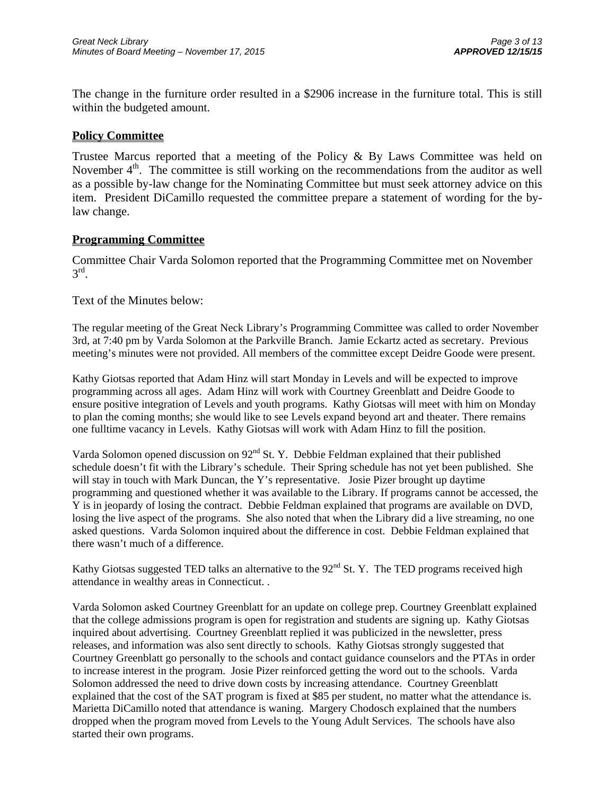The change in the furniture order resulted in a \$2906 increase in the furniture total. This is still within the budgeted amount.

# **Policy Committee**

Trustee Marcus reported that a meeting of the Policy & By Laws Committee was held on November 4<sup>th</sup>. The committee is still working on the recommendations from the auditor as well as a possible by-law change for the Nominating Committee but must seek attorney advice on this item. President DiCamillo requested the committee prepare a statement of wording for the bylaw change.

## **Programming Committee**

Committee Chair Varda Solomon reported that the Programming Committee met on November  $3^{\text{rd}}$ .

## Text of the Minutes below:

The regular meeting of the Great Neck Library's Programming Committee was called to order November 3rd, at 7:40 pm by Varda Solomon at the Parkville Branch. Jamie Eckartz acted as secretary. Previous meeting's minutes were not provided. All members of the committee except Deidre Goode were present.

Kathy Giotsas reported that Adam Hinz will start Monday in Levels and will be expected to improve programming across all ages. Adam Hinz will work with Courtney Greenblatt and Deidre Goode to ensure positive integration of Levels and youth programs. Kathy Giotsas will meet with him on Monday to plan the coming months; she would like to see Levels expand beyond art and theater. There remains one fulltime vacancy in Levels. Kathy Giotsas will work with Adam Hinz to fill the position.

Varda Solomon opened discussion on 92<sup>nd</sup> St. Y. Debbie Feldman explained that their published schedule doesn't fit with the Library's schedule. Their Spring schedule has not yet been published. She will stay in touch with Mark Duncan, the Y's representative. Josie Pizer brought up daytime programming and questioned whether it was available to the Library. If programs cannot be accessed, the Y is in jeopardy of losing the contract. Debbie Feldman explained that programs are available on DVD, losing the live aspect of the programs. She also noted that when the Library did a live streaming, no one asked questions. Varda Solomon inquired about the difference in cost. Debbie Feldman explained that there wasn't much of a difference.

Kathy Giotsas suggested TED talks an alternative to the  $92<sup>nd</sup>$  St. Y. The TED programs received high attendance in wealthy areas in Connecticut. .

Varda Solomon asked Courtney Greenblatt for an update on college prep. Courtney Greenblatt explained that the college admissions program is open for registration and students are signing up. Kathy Giotsas inquired about advertising. Courtney Greenblatt replied it was publicized in the newsletter, press releases, and information was also sent directly to schools. Kathy Giotsas strongly suggested that Courtney Greenblatt go personally to the schools and contact guidance counselors and the PTAs in order to increase interest in the program. Josie Pizer reinforced getting the word out to the schools. Varda Solomon addressed the need to drive down costs by increasing attendance. Courtney Greenblatt explained that the cost of the SAT program is fixed at \$85 per student, no matter what the attendance is. Marietta DiCamillo noted that attendance is waning. Margery Chodosch explained that the numbers dropped when the program moved from Levels to the Young Adult Services. The schools have also started their own programs.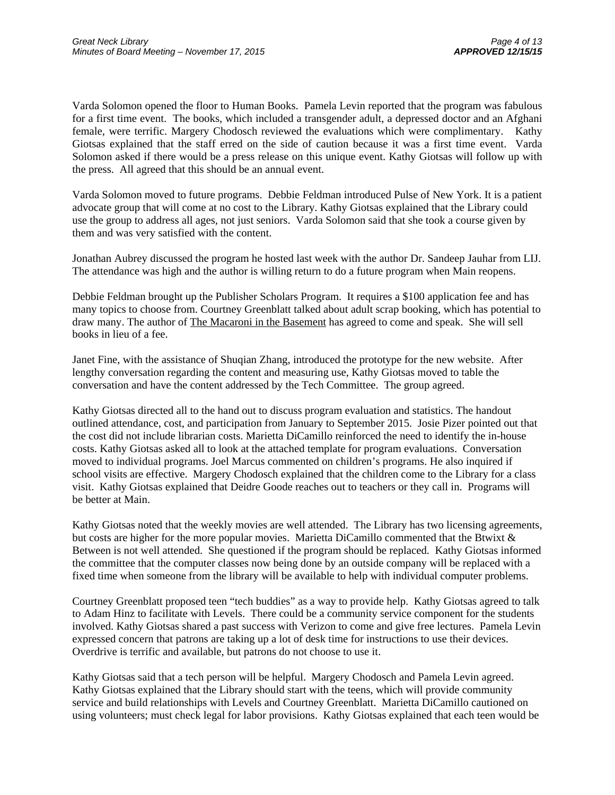Varda Solomon opened the floor to Human Books. Pamela Levin reported that the program was fabulous for a first time event. The books, which included a transgender adult, a depressed doctor and an Afghani female, were terrific. Margery Chodosch reviewed the evaluations which were complimentary. Kathy Giotsas explained that the staff erred on the side of caution because it was a first time event. Varda Solomon asked if there would be a press release on this unique event. Kathy Giotsas will follow up with the press. All agreed that this should be an annual event.

Varda Solomon moved to future programs. Debbie Feldman introduced Pulse of New York. It is a patient advocate group that will come at no cost to the Library. Kathy Giotsas explained that the Library could use the group to address all ages, not just seniors. Varda Solomon said that she took a course given by them and was very satisfied with the content.

Jonathan Aubrey discussed the program he hosted last week with the author Dr. Sandeep Jauhar from LIJ. The attendance was high and the author is willing return to do a future program when Main reopens.

Debbie Feldman brought up the Publisher Scholars Program. It requires a \$100 application fee and has many topics to choose from. Courtney Greenblatt talked about adult scrap booking, which has potential to draw many. The author of The Macaroni in the Basement has agreed to come and speak. She will sell books in lieu of a fee.

Janet Fine, with the assistance of Shuqian Zhang, introduced the prototype for the new website. After lengthy conversation regarding the content and measuring use, Kathy Giotsas moved to table the conversation and have the content addressed by the Tech Committee. The group agreed.

Kathy Giotsas directed all to the hand out to discuss program evaluation and statistics. The handout outlined attendance, cost, and participation from January to September 2015. Josie Pizer pointed out that the cost did not include librarian costs. Marietta DiCamillo reinforced the need to identify the in-house costs. Kathy Giotsas asked all to look at the attached template for program evaluations. Conversation moved to individual programs. Joel Marcus commented on children's programs. He also inquired if school visits are effective. Margery Chodosch explained that the children come to the Library for a class visit. Kathy Giotsas explained that Deidre Goode reaches out to teachers or they call in. Programs will be better at Main.

Kathy Giotsas noted that the weekly movies are well attended. The Library has two licensing agreements, but costs are higher for the more popular movies. Marietta DiCamillo commented that the Btwixt & Between is not well attended. She questioned if the program should be replaced. Kathy Giotsas informed the committee that the computer classes now being done by an outside company will be replaced with a fixed time when someone from the library will be available to help with individual computer problems.

Courtney Greenblatt proposed teen "tech buddies" as a way to provide help. Kathy Giotsas agreed to talk to Adam Hinz to facilitate with Levels. There could be a community service component for the students involved. Kathy Giotsas shared a past success with Verizon to come and give free lectures. Pamela Levin expressed concern that patrons are taking up a lot of desk time for instructions to use their devices. Overdrive is terrific and available, but patrons do not choose to use it.

Kathy Giotsas said that a tech person will be helpful. Margery Chodosch and Pamela Levin agreed. Kathy Giotsas explained that the Library should start with the teens, which will provide community service and build relationships with Levels and Courtney Greenblatt. Marietta DiCamillo cautioned on using volunteers; must check legal for labor provisions. Kathy Giotsas explained that each teen would be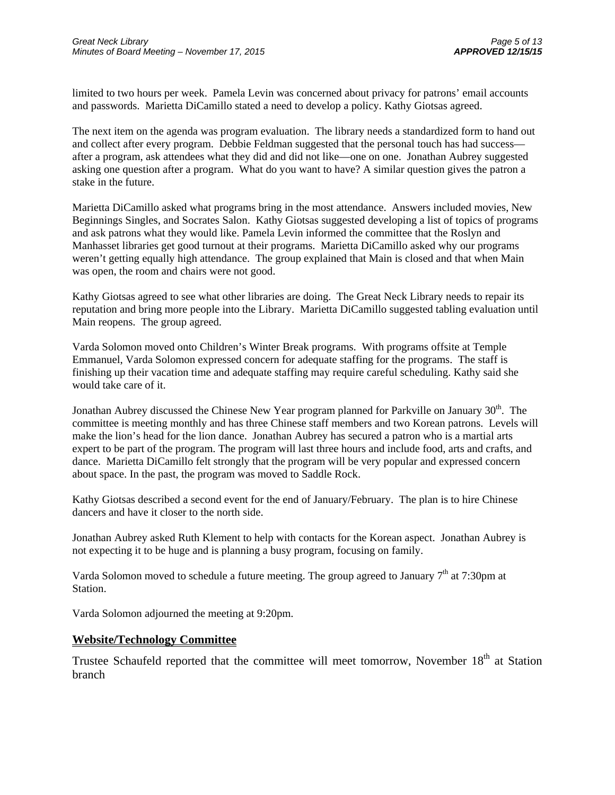limited to two hours per week. Pamela Levin was concerned about privacy for patrons' email accounts and passwords. Marietta DiCamillo stated a need to develop a policy. Kathy Giotsas agreed.

The next item on the agenda was program evaluation. The library needs a standardized form to hand out and collect after every program. Debbie Feldman suggested that the personal touch has had success after a program, ask attendees what they did and did not like—one on one. Jonathan Aubrey suggested asking one question after a program. What do you want to have? A similar question gives the patron a stake in the future.

Marietta DiCamillo asked what programs bring in the most attendance. Answers included movies, New Beginnings Singles, and Socrates Salon. Kathy Giotsas suggested developing a list of topics of programs and ask patrons what they would like. Pamela Levin informed the committee that the Roslyn and Manhasset libraries get good turnout at their programs. Marietta DiCamillo asked why our programs weren't getting equally high attendance. The group explained that Main is closed and that when Main was open, the room and chairs were not good.

Kathy Giotsas agreed to see what other libraries are doing. The Great Neck Library needs to repair its reputation and bring more people into the Library. Marietta DiCamillo suggested tabling evaluation until Main reopens. The group agreed.

Varda Solomon moved onto Children's Winter Break programs. With programs offsite at Temple Emmanuel, Varda Solomon expressed concern for adequate staffing for the programs. The staff is finishing up their vacation time and adequate staffing may require careful scheduling. Kathy said she would take care of it.

Jonathan Aubrey discussed the Chinese New Year program planned for Parkville on January 30<sup>th</sup>. The committee is meeting monthly and has three Chinese staff members and two Korean patrons. Levels will make the lion's head for the lion dance. Jonathan Aubrey has secured a patron who is a martial arts expert to be part of the program. The program will last three hours and include food, arts and crafts, and dance. Marietta DiCamillo felt strongly that the program will be very popular and expressed concern about space. In the past, the program was moved to Saddle Rock.

Kathy Giotsas described a second event for the end of January/February. The plan is to hire Chinese dancers and have it closer to the north side.

Jonathan Aubrey asked Ruth Klement to help with contacts for the Korean aspect. Jonathan Aubrey is not expecting it to be huge and is planning a busy program, focusing on family.

Varda Solomon moved to schedule a future meeting. The group agreed to January  $7<sup>th</sup>$  at 7:30pm at Station.

Varda Solomon adjourned the meeting at 9:20pm.

### **Website/Technology Committee**

Trustee Schaufeld reported that the committee will meet tomorrow, November  $18<sup>th</sup>$  at Station branch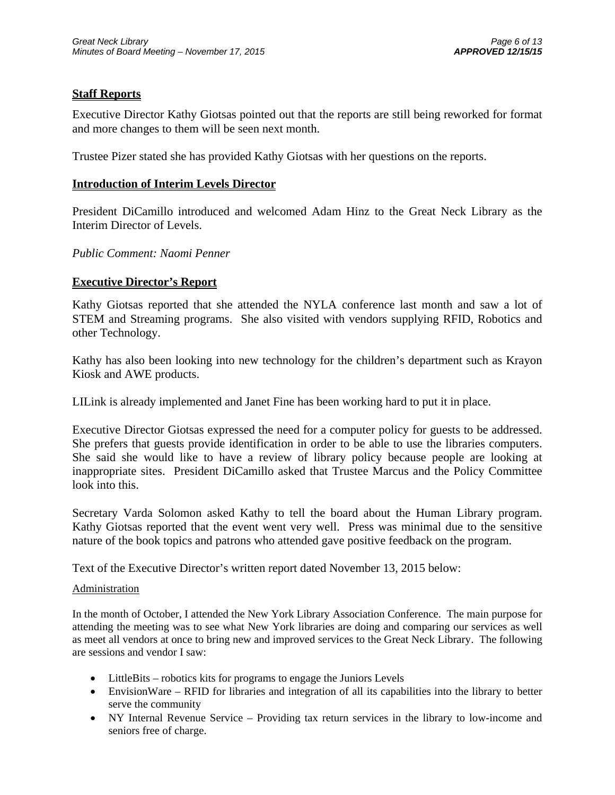# **Staff Reports**

Executive Director Kathy Giotsas pointed out that the reports are still being reworked for format and more changes to them will be seen next month.

Trustee Pizer stated she has provided Kathy Giotsas with her questions on the reports.

## **Introduction of Interim Levels Director**

President DiCamillo introduced and welcomed Adam Hinz to the Great Neck Library as the Interim Director of Levels.

## *Public Comment: Naomi Penner*

## **Executive Director's Report**

Kathy Giotsas reported that she attended the NYLA conference last month and saw a lot of STEM and Streaming programs. She also visited with vendors supplying RFID, Robotics and other Technology.

Kathy has also been looking into new technology for the children's department such as Krayon Kiosk and AWE products.

LILink is already implemented and Janet Fine has been working hard to put it in place.

Executive Director Giotsas expressed the need for a computer policy for guests to be addressed. She prefers that guests provide identification in order to be able to use the libraries computers. She said she would like to have a review of library policy because people are looking at inappropriate sites. President DiCamillo asked that Trustee Marcus and the Policy Committee look into this.

Secretary Varda Solomon asked Kathy to tell the board about the Human Library program. Kathy Giotsas reported that the event went very well. Press was minimal due to the sensitive nature of the book topics and patrons who attended gave positive feedback on the program.

Text of the Executive Director's written report dated November 13, 2015 below:

### Administration

In the month of October, I attended the New York Library Association Conference. The main purpose for attending the meeting was to see what New York libraries are doing and comparing our services as well as meet all vendors at once to bring new and improved services to the Great Neck Library. The following are sessions and vendor I saw:

- LittleBits robotics kits for programs to engage the Juniors Levels
- EnvisionWare RFID for libraries and integration of all its capabilities into the library to better serve the community
- NY Internal Revenue Service Providing tax return services in the library to low-income and seniors free of charge.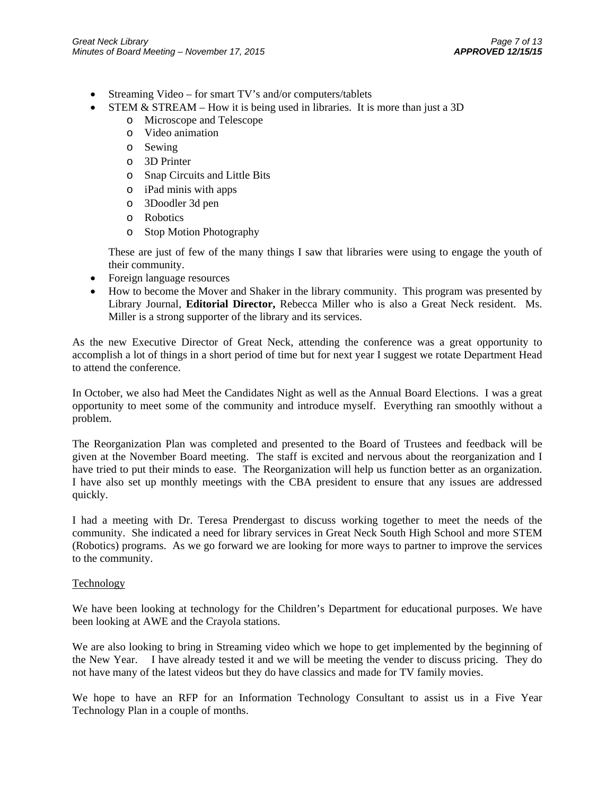- Streaming Video for smart TV's and/or computers/tablets
- STEM  $&$  STREAM How it is being used in libraries. It is more than just a 3D
	- o Microscope and Telescope
	- o Video animation
	- o Sewing
	- o 3D Printer
	- o Snap Circuits and Little Bits
	- o iPad minis with apps
	- o 3Doodler 3d pen
	- o Robotics
	- o Stop Motion Photography

These are just of few of the many things I saw that libraries were using to engage the youth of their community.

- Foreign language resources
- How to become the Mover and Shaker in the library community. This program was presented by Library Journal, **Editorial Director,** Rebecca Miller who is also a Great Neck resident. Ms. Miller is a strong supporter of the library and its services.

As the new Executive Director of Great Neck, attending the conference was a great opportunity to accomplish a lot of things in a short period of time but for next year I suggest we rotate Department Head to attend the conference.

In October, we also had Meet the Candidates Night as well as the Annual Board Elections. I was a great opportunity to meet some of the community and introduce myself. Everything ran smoothly without a problem.

The Reorganization Plan was completed and presented to the Board of Trustees and feedback will be given at the November Board meeting. The staff is excited and nervous about the reorganization and I have tried to put their minds to ease. The Reorganization will help us function better as an organization. I have also set up monthly meetings with the CBA president to ensure that any issues are addressed quickly.

I had a meeting with Dr. Teresa Prendergast to discuss working together to meet the needs of the community. She indicated a need for library services in Great Neck South High School and more STEM (Robotics) programs. As we go forward we are looking for more ways to partner to improve the services to the community.

### Technology

We have been looking at technology for the Children's Department for educational purposes. We have been looking at AWE and the Crayola stations.

We are also looking to bring in Streaming video which we hope to get implemented by the beginning of the New Year. I have already tested it and we will be meeting the vender to discuss pricing. They do not have many of the latest videos but they do have classics and made for TV family movies.

We hope to have an RFP for an Information Technology Consultant to assist us in a Five Year Technology Plan in a couple of months.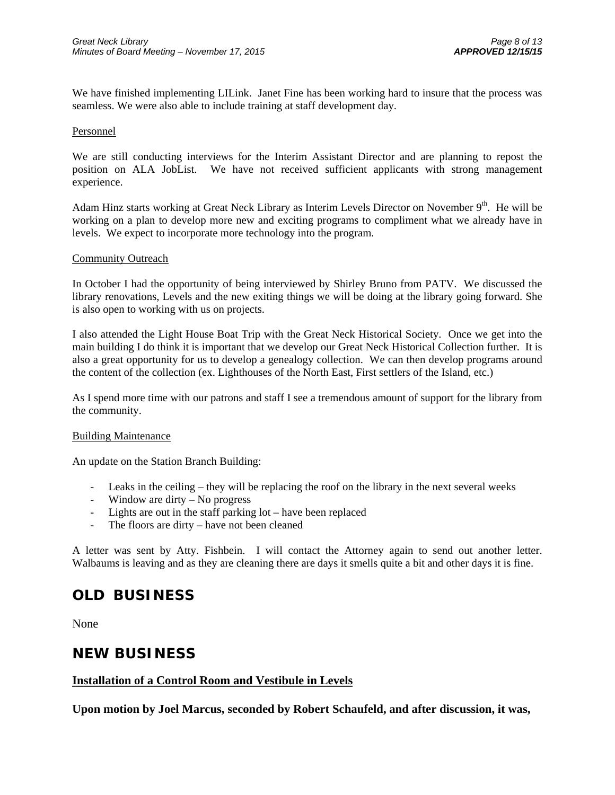We have finished implementing LILink. Janet Fine has been working hard to insure that the process was seamless. We were also able to include training at staff development day.

#### Personnel

We are still conducting interviews for the Interim Assistant Director and are planning to repost the position on ALA JobList. We have not received sufficient applicants with strong management experience.

Adam Hinz starts working at Great Neck Library as Interim Levels Director on November 9<sup>th</sup>. He will be working on a plan to develop more new and exciting programs to compliment what we already have in levels. We expect to incorporate more technology into the program.

#### Community Outreach

In October I had the opportunity of being interviewed by Shirley Bruno from PATV. We discussed the library renovations, Levels and the new exiting things we will be doing at the library going forward. She is also open to working with us on projects.

I also attended the Light House Boat Trip with the Great Neck Historical Society. Once we get into the main building I do think it is important that we develop our Great Neck Historical Collection further. It is also a great opportunity for us to develop a genealogy collection. We can then develop programs around the content of the collection (ex. Lighthouses of the North East, First settlers of the Island, etc.)

As I spend more time with our patrons and staff I see a tremendous amount of support for the library from the community.

### Building Maintenance

An update on the Station Branch Building:

- Leaks in the ceiling they will be replacing the roof on the library in the next several weeks
- Window are dirty No progress
- Lights are out in the staff parking lot have been replaced
- The floors are dirty have not been cleaned

A letter was sent by Atty. Fishbein. I will contact the Attorney again to send out another letter. Walbaums is leaving and as they are cleaning there are days it smells quite a bit and other days it is fine.

# **OLD BUSINESS**

None

# **NEW BUSINESS**

### **Installation of a Control Room and Vestibule in Levels**

**Upon motion by Joel Marcus, seconded by Robert Schaufeld, and after discussion, it was,**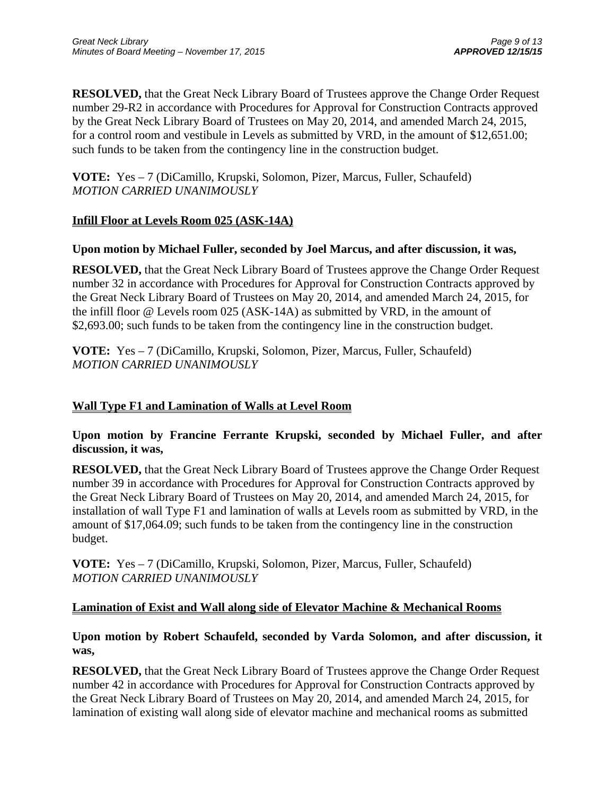**RESOLVED,** that the Great Neck Library Board of Trustees approve the Change Order Request number 29-R2 in accordance with Procedures for Approval for Construction Contracts approved by the Great Neck Library Board of Trustees on May 20, 2014, and amended March 24, 2015, for a control room and vestibule in Levels as submitted by VRD, in the amount of \$12,651.00; such funds to be taken from the contingency line in the construction budget.

**VOTE:** Yes – 7 (DiCamillo, Krupski, Solomon, Pizer, Marcus, Fuller, Schaufeld) *MOTION CARRIED UNANIMOUSLY* 

# **Infill Floor at Levels Room 025 (ASK-14A)**

# **Upon motion by Michael Fuller, seconded by Joel Marcus, and after discussion, it was,**

**RESOLVED,** that the Great Neck Library Board of Trustees approve the Change Order Request number 32 in accordance with Procedures for Approval for Construction Contracts approved by the Great Neck Library Board of Trustees on May 20, 2014, and amended March 24, 2015, for the infill floor @ Levels room 025 (ASK-14A) as submitted by VRD, in the amount of \$2,693.00; such funds to be taken from the contingency line in the construction budget.

**VOTE:** Yes – 7 (DiCamillo, Krupski, Solomon, Pizer, Marcus, Fuller, Schaufeld) *MOTION CARRIED UNANIMOUSLY* 

# **Wall Type F1 and Lamination of Walls at Level Room**

**Upon motion by Francine Ferrante Krupski, seconded by Michael Fuller, and after discussion, it was,** 

**RESOLVED,** that the Great Neck Library Board of Trustees approve the Change Order Request number 39 in accordance with Procedures for Approval for Construction Contracts approved by the Great Neck Library Board of Trustees on May 20, 2014, and amended March 24, 2015, for installation of wall Type F1 and lamination of walls at Levels room as submitted by VRD, in the amount of \$17,064.09; such funds to be taken from the contingency line in the construction budget.

**VOTE:** Yes – 7 (DiCamillo, Krupski, Solomon, Pizer, Marcus, Fuller, Schaufeld) *MOTION CARRIED UNANIMOUSLY* 

# **Lamination of Exist and Wall along side of Elevator Machine & Mechanical Rooms**

**Upon motion by Robert Schaufeld, seconded by Varda Solomon, and after discussion, it was,** 

**RESOLVED,** that the Great Neck Library Board of Trustees approve the Change Order Request number 42 in accordance with Procedures for Approval for Construction Contracts approved by the Great Neck Library Board of Trustees on May 20, 2014, and amended March 24, 2015, for lamination of existing wall along side of elevator machine and mechanical rooms as submitted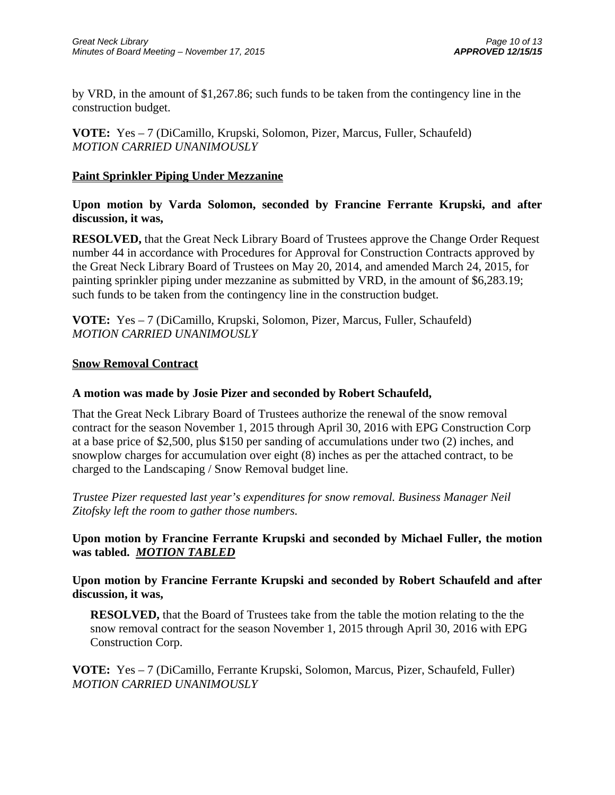by VRD, in the amount of \$1,267.86; such funds to be taken from the contingency line in the construction budget.

**VOTE:** Yes – 7 (DiCamillo, Krupski, Solomon, Pizer, Marcus, Fuller, Schaufeld) *MOTION CARRIED UNANIMOUSLY* 

# **Paint Sprinkler Piping Under Mezzanine**

**Upon motion by Varda Solomon, seconded by Francine Ferrante Krupski, and after discussion, it was,** 

**RESOLVED,** that the Great Neck Library Board of Trustees approve the Change Order Request number 44 in accordance with Procedures for Approval for Construction Contracts approved by the Great Neck Library Board of Trustees on May 20, 2014, and amended March 24, 2015, for painting sprinkler piping under mezzanine as submitted by VRD, in the amount of \$6,283.19; such funds to be taken from the contingency line in the construction budget.

**VOTE:** Yes – 7 (DiCamillo, Krupski, Solomon, Pizer, Marcus, Fuller, Schaufeld) *MOTION CARRIED UNANIMOUSLY* 

## **Snow Removal Contract**

# **A motion was made by Josie Pizer and seconded by Robert Schaufeld,**

That the Great Neck Library Board of Trustees authorize the renewal of the snow removal contract for the season November 1, 2015 through April 30, 2016 with EPG Construction Corp at a base price of \$2,500, plus \$150 per sanding of accumulations under two (2) inches, and snowplow charges for accumulation over eight (8) inches as per the attached contract, to be charged to the Landscaping / Snow Removal budget line.

*Trustee Pizer requested last year's expenditures for snow removal. Business Manager Neil Zitofsky left the room to gather those numbers.* 

# **Upon motion by Francine Ferrante Krupski and seconded by Michael Fuller, the motion was tabled.** *MOTION TABLED*

**Upon motion by Francine Ferrante Krupski and seconded by Robert Schaufeld and after discussion, it was,** 

**RESOLVED,** that the Board of Trustees take from the table the motion relating to the the snow removal contract for the season November 1, 2015 through April 30, 2016 with EPG Construction Corp.

**VOTE:** Yes – 7 (DiCamillo, Ferrante Krupski, Solomon, Marcus, Pizer, Schaufeld, Fuller) *MOTION CARRIED UNANIMOUSLY*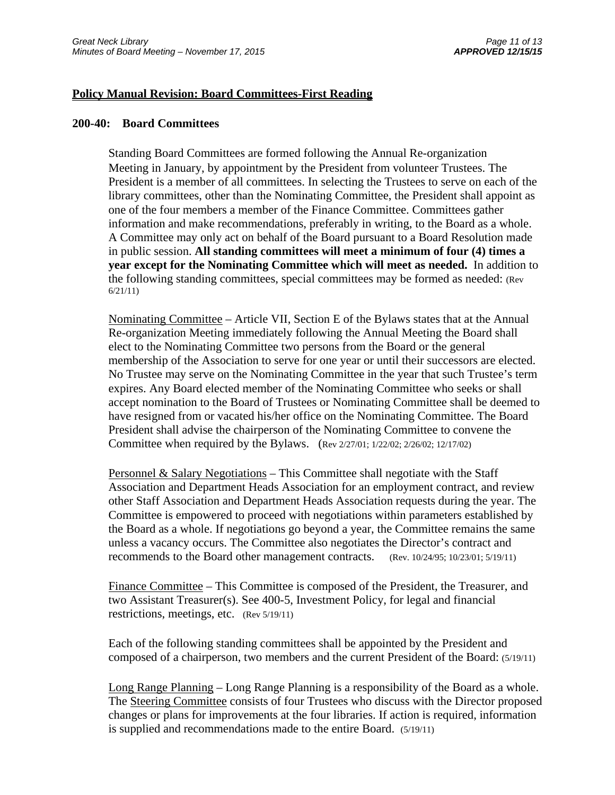### **Policy Manual Revision: Board Committees-First Reading**

### **200-40: Board Committees**

Standing Board Committees are formed following the Annual Re-organization Meeting in January, by appointment by the President from volunteer Trustees. The President is a member of all committees. In selecting the Trustees to serve on each of the library committees, other than the Nominating Committee, the President shall appoint as one of the four members a member of the Finance Committee. Committees gather information and make recommendations, preferably in writing, to the Board as a whole. A Committee may only act on behalf of the Board pursuant to a Board Resolution made in public session. **All standing committees will meet a minimum of four (4) times a year except for the Nominating Committee which will meet as needed.** In addition to the following standing committees, special committees may be formed as needed: (Rev 6/21/11)

Nominating Committee – Article VII, Section E of the Bylaws states that at the Annual Re-organization Meeting immediately following the Annual Meeting the Board shall elect to the Nominating Committee two persons from the Board or the general membership of the Association to serve for one year or until their successors are elected. No Trustee may serve on the Nominating Committee in the year that such Trustee's term expires. Any Board elected member of the Nominating Committee who seeks or shall accept nomination to the Board of Trustees or Nominating Committee shall be deemed to have resigned from or vacated his/her office on the Nominating Committee. The Board President shall advise the chairperson of the Nominating Committee to convene the Committee when required by the Bylaws. (Rev 2/27/01; 1/22/02; 2/26/02; 12/17/02)

Personnel & Salary Negotiations – This Committee shall negotiate with the Staff Association and Department Heads Association for an employment contract, and review other Staff Association and Department Heads Association requests during the year. The Committee is empowered to proceed with negotiations within parameters established by the Board as a whole. If negotiations go beyond a year, the Committee remains the same unless a vacancy occurs. The Committee also negotiates the Director's contract and recommends to the Board other management contracts. (Rev. 10/24/95; 10/23/01; 5/19/11)

Finance Committee – This Committee is composed of the President, the Treasurer, and two Assistant Treasurer(s). See 400-5, Investment Policy, for legal and financial restrictions, meetings, etc. (Rev 5/19/11)

Each of the following standing committees shall be appointed by the President and composed of a chairperson, two members and the current President of the Board: (5/19/11)

Long Range Planning – Long Range Planning is a responsibility of the Board as a whole. The Steering Committee consists of four Trustees who discuss with the Director proposed changes or plans for improvements at the four libraries. If action is required, information is supplied and recommendations made to the entire Board. (5/19/11)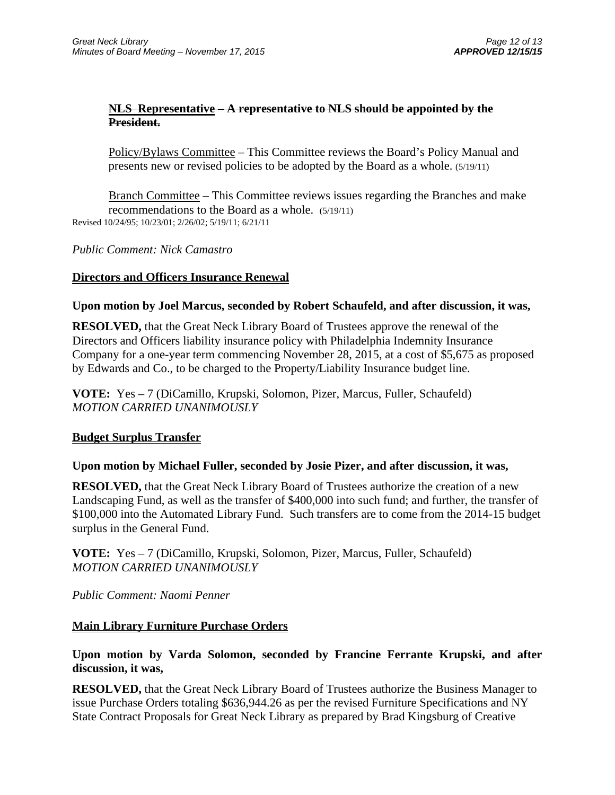## **NLS Representative – A representative to NLS should be appointed by the President.**

Policy/Bylaws Committee – This Committee reviews the Board's Policy Manual and presents new or revised policies to be adopted by the Board as a whole. (5/19/11)

Branch Committee – This Committee reviews issues regarding the Branches and make recommendations to the Board as a whole. (5/19/11) Revised 10/24/95; 10/23/01; 2/26/02; 5/19/11; 6/21/11

*Public Comment: Nick Camastro*

## **Directors and Officers Insurance Renewal**

## **Upon motion by Joel Marcus, seconded by Robert Schaufeld, and after discussion, it was,**

**RESOLVED,** that the Great Neck Library Board of Trustees approve the renewal of the Directors and Officers liability insurance policy with Philadelphia Indemnity Insurance Company for a one-year term commencing November 28, 2015, at a cost of \$5,675 as proposed by Edwards and Co., to be charged to the Property/Liability Insurance budget line.

**VOTE:** Yes – 7 (DiCamillo, Krupski, Solomon, Pizer, Marcus, Fuller, Schaufeld) *MOTION CARRIED UNANIMOUSLY* 

## **Budget Surplus Transfer**

## **Upon motion by Michael Fuller, seconded by Josie Pizer, and after discussion, it was,**

**RESOLVED,** that the Great Neck Library Board of Trustees authorize the creation of a new Landscaping Fund, as well as the transfer of \$400,000 into such fund; and further, the transfer of \$100,000 into the Automated Library Fund. Such transfers are to come from the 2014-15 budget surplus in the General Fund.

**VOTE:** Yes – 7 (DiCamillo, Krupski, Solomon, Pizer, Marcus, Fuller, Schaufeld) *MOTION CARRIED UNANIMOUSLY* 

*Public Comment: Naomi Penner*

## **Main Library Furniture Purchase Orders**

## **Upon motion by Varda Solomon, seconded by Francine Ferrante Krupski, and after discussion, it was,**

**RESOLVED,** that the Great Neck Library Board of Trustees authorize the Business Manager to issue Purchase Orders totaling \$636,944.26 as per the revised Furniture Specifications and NY State Contract Proposals for Great Neck Library as prepared by Brad Kingsburg of Creative